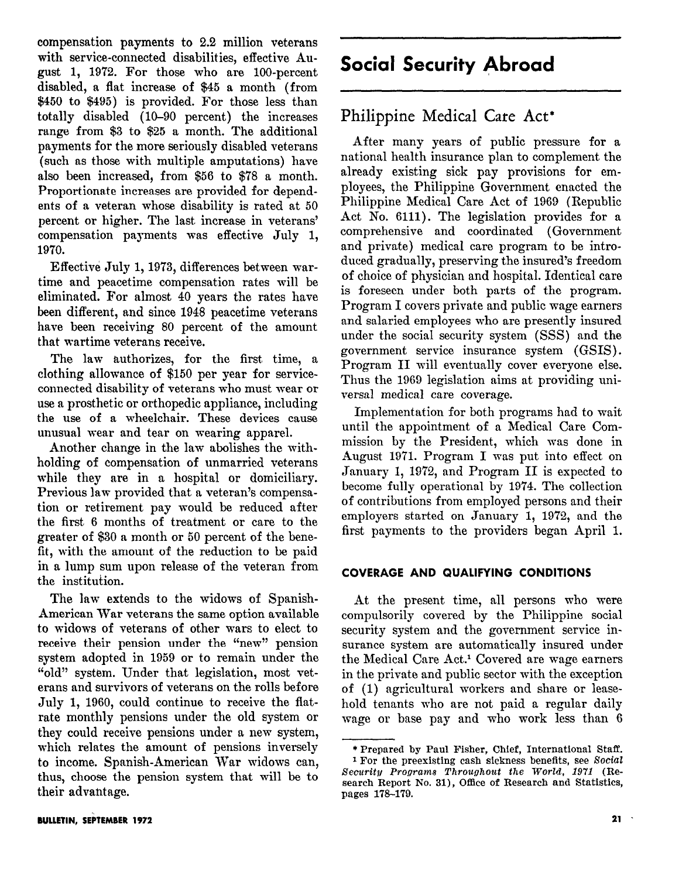compensation payments to 2.2 million Veterans with service-connected disabilities, effective August 1, 19'72. For those who are loo-percent disabled, a flat increase of \$45 a month (from \$450 to \$495) is provided. For those less than totally disabled (10-90 percent) the increases range from \$3 to \$25 a month. The additional payments for the more seriously disabled veterans (such as those with multiple amputations) have also been increased, from \$56 to \$78 a month. Proportionate increases are provided for dependents of a veteran whose disability is rated at 50 percent or higher. The last increase in veterans' compensation payments was effective July 1, 1970.

Effective July 1,19'73, differences between wartime and peacetime compensation rates will be eliminated. For almost 40 years the rates have been different, and since 1948 peacetime veterans have been receiving 80 percent of the amount that wartime veterans receive.

The law authorizes, for the first time, a clothing allowance of \$150 per year for serviceconnected disability of veterans who must wear or use a prosthetic or orthopedic appliance, including the use of a wheelchair. These devices cause unusual wear and tear on wearing apparel.

Another change in the law abolishes the withholding of compensation of unmarried veterans while they are in a hospital or domiciliary. Previous law provided that a veteran's compensation or retirement pay would be reduced after the first 6 months of treatment or care to the greater of \$30 a month or 50 percent of the benefit, with the amount of the reduction to be paid in a lump sum upon release of the veteran from the institution.

The law extends to the widows of Spanish-American War veterans the same option available to widows of veterans of other wars to elect to receive their pension under the "new" pension system adopted in 1959 or to remain under the "old" system. Under that legislation, most veterans and survivors of veterans on the rolls before July 1, 1960, could continue to receive the flatrate monthly pensions under the old system or they could receive pensions under a new system, which relates the amount of pensions inversely to income. Spanish-American War widows can, thus, choose the pension system that will be to their advantage.

Philippine Medical Care Act\*

After many years of public pressure for a national health insurance plan to complement the already existing sick pay provisions for employees, the Philippine Government enacted the Philippine Medical Care Act of 1969 (Republic Act No. 6111). The legislation provides for a comprehensive and coordinated (Government and private) medical care program to be introduced gradually, preserving the insured's freedom of choice of physician and hospital. Identical care is foreseen under both parts of the program. Program I covers private and public wage earners and salaried employees who are presently insured under the social security system (SSS) and the government service insurance system (GSIS) . Program II will eventually cover everyone else. Thus the 1969 legislation aims at providing universal medical care coverage.

Implementation for both programs had to wait until the appointment of a Medical Care Commission by the President, which was done in August 1971. Program I was put into effect on January 1, 1972, and Program II is expected to become fully operational by 19'74. The collection of contributions from employed persons and their employers started on January 1, 1972, and the first payments to the providers began April 1.

## COVERAGE AND QUALIFYING CONDITIONS

At the present time, all persons who were compulsorily covered by the Philippine social security system and the government service insurance system are automatically insured under the Medical Care Act.<sup>1</sup> Covered are wage earners in the private and public sector with the exception of (1) agricultural workers and share or leasehold tenants who are not paid a regular daily wage or base pay and who work less than 6

<sup>\*</sup>Prepared by Paul Fisher, Chief, International Staff. <sup>1</sup> For the preexisting cash sickness benefits, see Social Security Programs Throughout the World, 1971 (Research Report No. 31), Office of Research and Statistics, pages 178-179.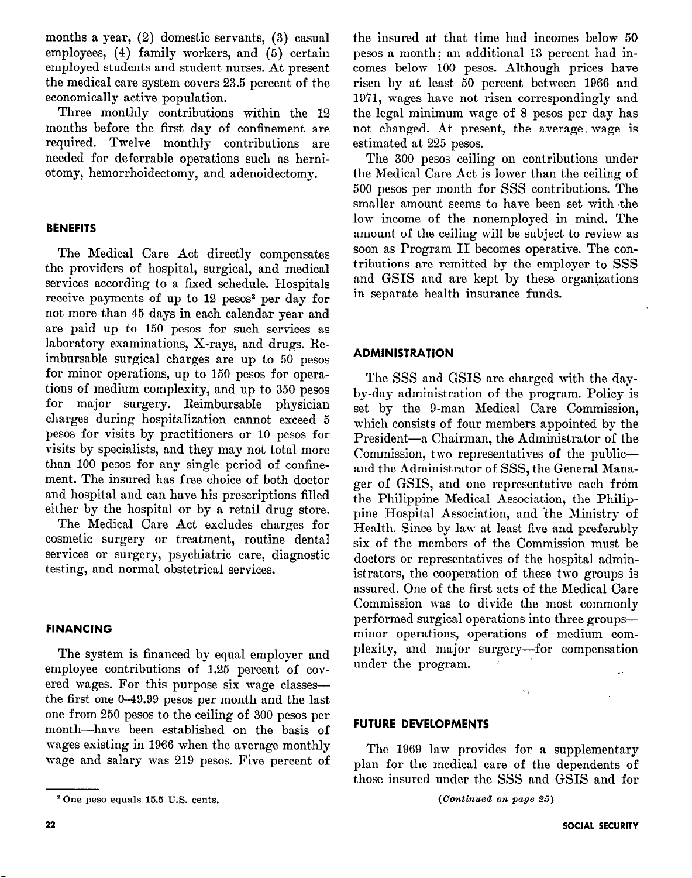months a year, (2) domestic servants, (3) casual employees, (4) family workers, and (5) certain employed students and student nurses. At present the medical care system covers 23.5 percent of the economically active population.

Three monthly contributions within the 12 months before the first day of confinement are required. Twelve monthly contributions are needed for deferrable operations such as herniotomy, hemorrhoidectomy, and adenoidectomy.

## **BENEFITS**

The Medical Care Act directly compensates the providers of hospital, surgical, and medical services according to a fixed schedule. Hospitals receive payments of up to 12 pesos<sup>2</sup> per day for not more than 45 days in each calendar year and are paid up to 150 pesos for such services as laboratory examinations, X-rays, and drugs. Reimbursable surgical charges are up to 50 pesos for minor operations, up to 150 pesos for operations of medium complexity, and up to 350 pesos for major surgery. Reimbursable physician charges during hospitalization cannot exceed 5 pesos for visits by practitioners or 10 pesos for visits by specialists, and they may not total more than 100 pesos for any single period of confinement. The insured has free choice of both doctor and hospital and can have his prescriptions filled either by the hospital or by a retail drug store.

The Medical Care Act excludes charges for cosmetic surgery or treatment, routine dental services or surgery, psychiatric care, diagnostic testing, and normal obstetrical services.

### FINANCING

The system is financed by equal employer and employee contributions of 1.25 percent of covered wages. For this purpose six wage classesthe first one O-49.99 pesos per month and the last one from 250 pesos to the ceiling of 300 pesos per month-have been established on the basis of wages existing in 1966 when the average monthly wage and salary was 219 pesos. Five percent of

the insured at that time had incomes below 50 pesos a month; an additional 13 percent had incomes below 100 pesos. Although prices have risen by at least 50 percent between 1966 and 1971, wages have not risen correspondingly and the legal minimum wage of 8 pesos per day has not changed. At present, the average wage is estimated at 225 pesos.

The 300 pesos ceiling on contributions under the Medical Care Act is lower than the ceiling of 500 pesos per month for SSS contributions. The smaller amount seems to have been set with the low income of the nonemployed in mind. The amount of the ceiling will be subject to review as soon as Program II becomes operative. The contributions are remitted by the employer to SSS and GSIS and are kept by these organizations in separate health insurance funds.

## ADMINISTRATION

The SSS and GSIS are charged with the dayby-day administration of the program. Policy is set by the g-man Medical Care Commission, which consists of four members appointed by the President-a Chairman, the Administrator of the Commission, two representatives of the publicand the Administrator of SSS, the General Manager of GSIS, and one representative each from the Philippine Medical Association, the Philippine Hospital Association, and 'the Ministry of Health. Since by law at least five and preferably six of the members of the Commission must/be doctors or representatives of the hospital administrators, the cooperation of these two groups is assured. One of the first acts of the Medical Care Commission was to divide the most commonly performed surgical operations into three groupsminor operations, operations of medium complexity, and major surgery-for compensation under the program. ,.

### FUTURE DEVELOPMENTS

The 1969 law provides for a supplementary plan for the medical care of the dependents of those insured under the SSS and GSIS and for

 $\frac{1}{2}$  .

<sup>&#</sup>x27; One peso equals 15.5 U.S. cents.